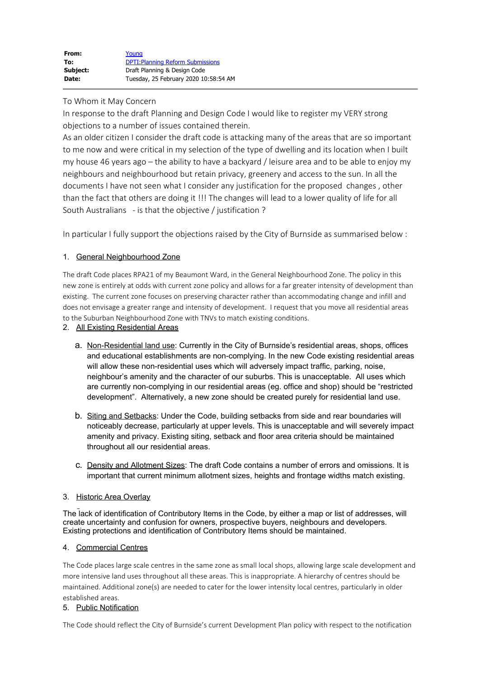To Whom it May Concern

In response to the draft Planning and Design Code I would like to register my VERY strong objections to a number of issues contained therein.

As an older citizen I consider the draft code is attacking many of the areas that are so important to me now and were critical in my selection of the type of dwelling and its location when I built my house 46 years ago – the ability to have a backyard / leisure area and to be able to enjoy my neighbours and neighbourhood but retain privacy, greenery and access to the sun. In all the documents I have not seen what I consider any justification for the proposed changes , other than the fact that others are doing it !!! The changes will lead to a lower quality of life for all South Australians - is that the objective / justification ?

In particular I fully support the objections raised by the City of Burnside as summarised below :

## 1. General Neighbourhood Zone

The draft Code places RPA21 of my Beaumont Ward, in the General Neighbourhood Zone. The policy in this new zone is entirely at odds with current zone policy and allows for a far greater intensity of development than existing. The current zone focuses on preserving character rather than accommodating change and infill and does not envisage a greater range and intensity of development. I request that you move all residential areas to the Suburban Neighbourhood Zone with TNVs to match existing conditions.

2. All Existing Residential Areas

- a. Non-Residential land use: Currently in the City of Burnside's residential areas, shops, offices and educational establishments are non-complying. In the new Code existing residential areas will allow these non-residential uses which will adversely impact traffic, parking, noise, neighbour's amenity and the character of our suburbs. This is unacceptable. All uses which are currently non-complying in our residential areas (eg. office and shop) should be "restricted development". Alternatively, a new zone should be created purely for residential land use.
- b. Siting and Setbacks: Under the Code, building setbacks from side and rear boundaries will noticeably decrease, particularly at upper levels. This is unacceptable and will severely impact amenity and privacy. Existing siting, setback and floor area criteria should be maintained throughout all our residential areas.
- c. Density and Allotment Sizes: The draft Code contains a number of errors and omissions. It is important that current minimum allotment sizes, heights and frontage widths match existing.

## 3. Historic Area Overlay

The lack of identification of Contributory Items in the Code, by either a map or list of addresses, will create uncertainty and confusion for owners, prospective buyers, neighbours and developers. Existing protections and identification of Contributory Items should be maintained.

## 4. Commercial Centres

The Code places large scale centres in the same zone as small local shops, allowing large scale development and more intensive land uses throughout all these areas. This is inappropriate. A hierarchy of centres should be maintained. Additional zone(s) are needed to cater for the lower intensity local centres, particularly in older established areas.

## 5. Public Notification

The Code should reflect the City of Burnside's current Development Plan policy with respect to the notification